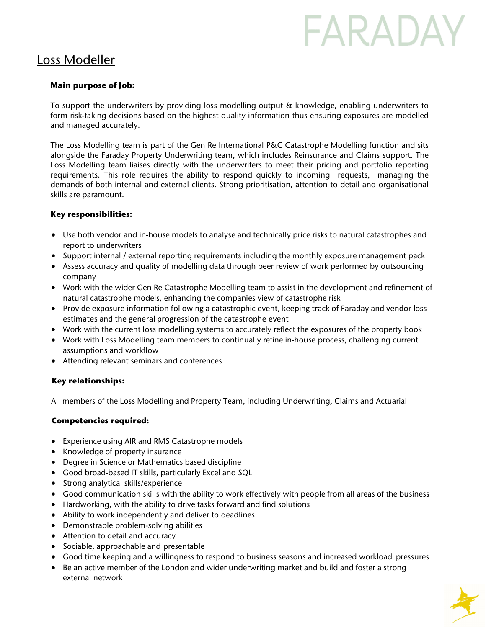# FARADAY

### Loss Modeller

#### **Main purpose of Job:**

To support the underwriters by providing loss modelling output & knowledge, enabling underwriters to form risk-taking decisions based on the highest quality information thus ensuring exposures are modelled and managed accurately.

The Loss Modelling team is part of the Gen Re International P&C Catastrophe Modelling function and sits alongside the Faraday Property Underwriting team, which includes Reinsurance and Claims support. The Loss Modelling team liaises directly with the underwriters to meet their pricing and portfolio reporting requirements. This role requires the ability to respond quickly to incoming requests, managing the demands of both internal and external clients. Strong prioritisation, attention to detail and organisational skills are paramount.

#### **Key responsibilities:**

- Use both vendor and in-house models to analyse and technically price risks to natural catastrophes and report to underwriters
- Support internal / external reporting requirements including the monthly exposure management pack
- Assess accuracy and quality of modelling data through peer review of work performed by outsourcing company
- Work with the wider Gen Re Catastrophe Modelling team to assist in the development and refinement of natural catastrophe models, enhancing the companies view of catastrophe risk
- Provide exposure information following a catastrophic event, keeping track of Faraday and vendor loss estimates and the general progression of the catastrophe event
- Work with the current loss modelling systems to accurately reflect the exposures of the property book
- Work with Loss Modelling team members to continually refine in-house process, challenging current assumptions and workflow
- Attending relevant seminars and conferences

#### **Key relationships:**

All members of the Loss Modelling and Property Team, including Underwriting, Claims and Actuarial

#### **Competencies required:**

- Experience using AIR and RMS Catastrophe models
- Knowledge of property insurance
- Degree in Science or Mathematics based discipline
- Good broad-based IT skills, particularly Excel and SQL
- Strong analytical skills/experience
- Good communication skills with the ability to work effectively with people from all areas of the business
- Hardworking, with the ability to drive tasks forward and find solutions
- Ability to work independently and deliver to deadlines
- Demonstrable problem-solving abilities
- Attention to detail and accuracy
- Sociable, approachable and presentable
- Good time keeping and a willingness to respond to business seasons and increased workload pressures
- Be an active member of the London and wider underwriting market and build and foster a strong external network